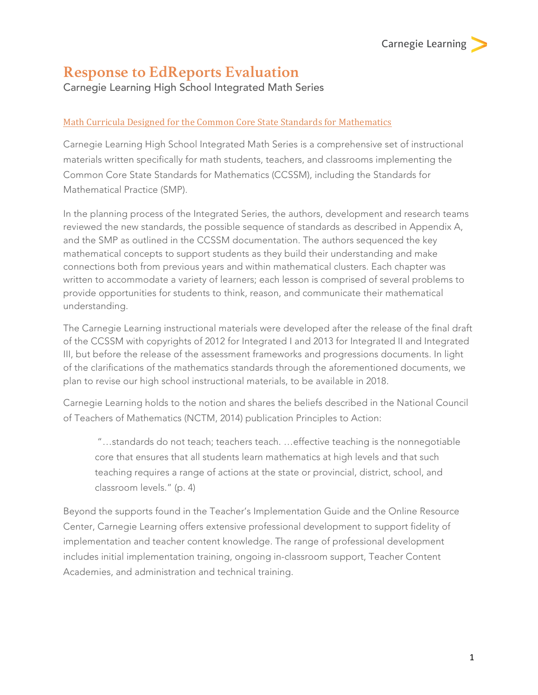# **Response to EdReports Evaluation**

Carnegie Learning High School Integrated Math Series

## Math Curricula Designed for the Common Core State Standards for Mathematics

Carnegie Learning High School Integrated Math Series is a comprehensive set of instructional materials written specifically for math students, teachers, and classrooms implementing the Common Core State Standards for Mathematics (CCSSM), including the Standards for Mathematical Practice (SMP).

In the planning process of the Integrated Series, the authors, development and research teams reviewed the new standards, the possible sequence of standards as described in Appendix A, and the SMP as outlined in the CCSSM documentation. The authors sequenced the key mathematical concepts to support students as they build their understanding and make connections both from previous years and within mathematical clusters. Each chapter was written to accommodate a variety of learners; each lesson is comprised of several problems to provide opportunities for students to think, reason, and communicate their mathematical understanding.

The Carnegie Learning instructional materials were developed after the release of the final draft of the CCSSM with copyrights of 2012 for Integrated I and 2013 for Integrated II and Integrated III, but before the release of the assessment frameworks and progressions documents. In light of the clarifications of the mathematics standards through the aforementioned documents, we plan to revise our high school instructional materials, to be available in 2018.

Carnegie Learning holds to the notion and shares the beliefs described in the National Council of Teachers of Mathematics (NCTM, 2014) publication Principles to Action:

"…standards do not teach; teachers teach. …effective teaching is the nonnegotiable core that ensures that all students learn mathematics at high levels and that such teaching requires a range of actions at the state or provincial, district, school, and classroom levels." (p. 4)

Beyond the supports found in the Teacher's Implementation Guide and the Online Resource Center, Carnegie Learning offers extensive professional development to support fidelity of implementation and teacher content knowledge. The range of professional development includes initial implementation training, ongoing in-classroom support, Teacher Content Academies, and administration and technical training.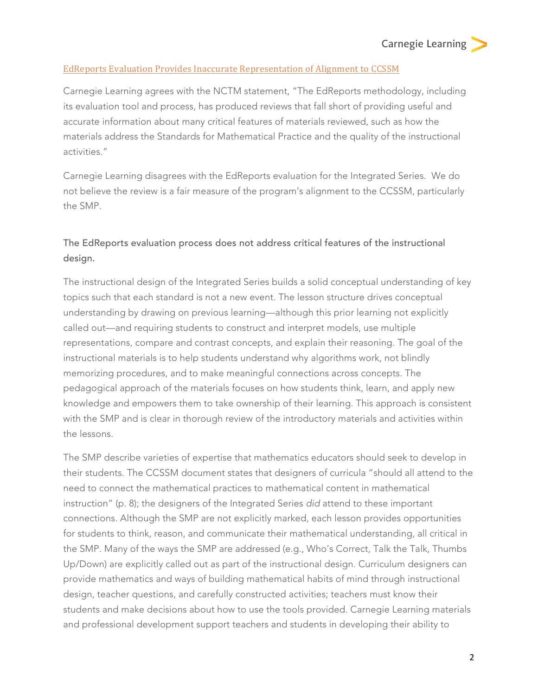### EdReports Evaluation Provides Inaccurate Representation of Alignment to CCSSM

Carnegie Learning agrees with the NCTM statement, "The EdReports methodology, including its evaluation tool and process, has produced reviews that fall short of providing useful and accurate information about many critical features of materials reviewed, such as how the materials address the Standards for Mathematical Practice and the quality of the instructional activities."

Carnegie Learning disagrees with the EdReports evaluation for the Integrated Series. We do not believe the review is a fair measure of the program's alignment to the CCSSM, particularly the SMP.

## The EdReports evaluation process does not address critical features of the instructional design.

The instructional design of the Integrated Series builds a solid conceptual understanding of key topics such that each standard is not a new event. The lesson structure drives conceptual understanding by drawing on previous learning—although this prior learning not explicitly called out—and requiring students to construct and interpret models, use multiple representations, compare and contrast concepts, and explain their reasoning. The goal of the instructional materials is to help students understand why algorithms work, not blindly memorizing procedures, and to make meaningful connections across concepts. The pedagogical approach of the materials focuses on how students think, learn, and apply new knowledge and empowers them to take ownership of their learning. This approach is consistent with the SMP and is clear in thorough review of the introductory materials and activities within the lessons.

The SMP describe varieties of expertise that mathematics educators should seek to develop in their students. The CCSSM document states that designers of curricula "should all attend to the need to connect the mathematical practices to mathematical content in mathematical instruction" (p. 8); the designers of the Integrated Series *did* attend to these important connections. Although the SMP are not explicitly marked, each lesson provides opportunities for students to think, reason, and communicate their mathematical understanding, all critical in the SMP. Many of the ways the SMP are addressed (e.g., Who's Correct, Talk the Talk, Thumbs Up/Down) are explicitly called out as part of the instructional design. Curriculum designers can provide mathematics and ways of building mathematical habits of mind through instructional design, teacher questions, and carefully constructed activities; teachers must know their students and make decisions about how to use the tools provided. Carnegie Learning materials and professional development support teachers and students in developing their ability to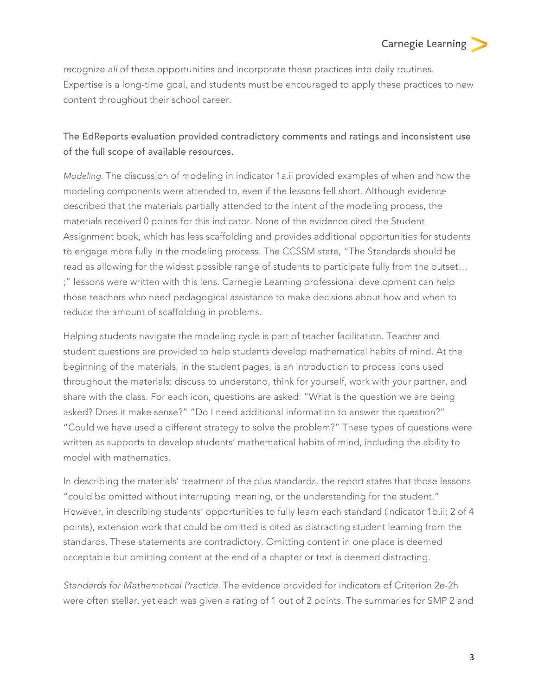recognize *all* of these opportunities and incorporate these practices into daily routines. Expertise is a long-time goal, and students must be encouraged to apply these practices to new content throughout their school career.

## The EdReports evaluation provided contradictory comments and ratings and inconsistent use of the full scope of available resources.

*Modeling.* The discussion of modeling in indicator 1a.ii provided examples of when and how the modeling components were attended to, even if the lessons fell short. Although evidence described that the materials partially attended to the intent of the modeling process, the materials received 0 points for this indicator. None of the evidence cited the Student Assignment book, which has less scaffolding and provides additional opportunities for students to engage more fully in the modeling process. The CCSSM state, "The Standards should be read as allowing for the widest possible range of students to participate fully from the outset… ;" lessons were written with this lens. Carnegie Learning professional development can help those teachers who need pedagogical assistance to make decisions about how and when to reduce the amount of scaffolding in problems.

Helping students navigate the modeling cycle is part of teacher facilitation. Teacher and student questions are provided to help students develop mathematical habits of mind. At the beginning of the materials, in the student pages, is an introduction to process icons used throughout the materials: discuss to understand, think for yourself, work with your partner, and share with the class. For each icon, questions are asked: "What is the question we are being asked? Does it make sense?" "Do I need additional information to answer the question?" "Could we have used a different strategy to solve the problem?" These types of questions were written as supports to develop students' mathematical habits of mind, including the ability to model with mathematics.

In describing the materials' treatment of the plus standards, the report states that those lessons "could be omitted without interrupting meaning, or the understanding for the student." However, in describing students' opportunities to fully learn each standard (indicator 1b.ii; 2 of 4 points), extension work that could be omitted is cited as distracting student learning from the standards. These statements are contradictory. Omitting content in one place is deemed acceptable but omitting content at the end of a chapter or text is deemed distracting.

*Standards for Mathematical Practice*. The evidence provided for indicators of Criterion 2e-2h were often stellar, yet each was given a rating of 1 out of 2 points. The summaries for SMP 2 and